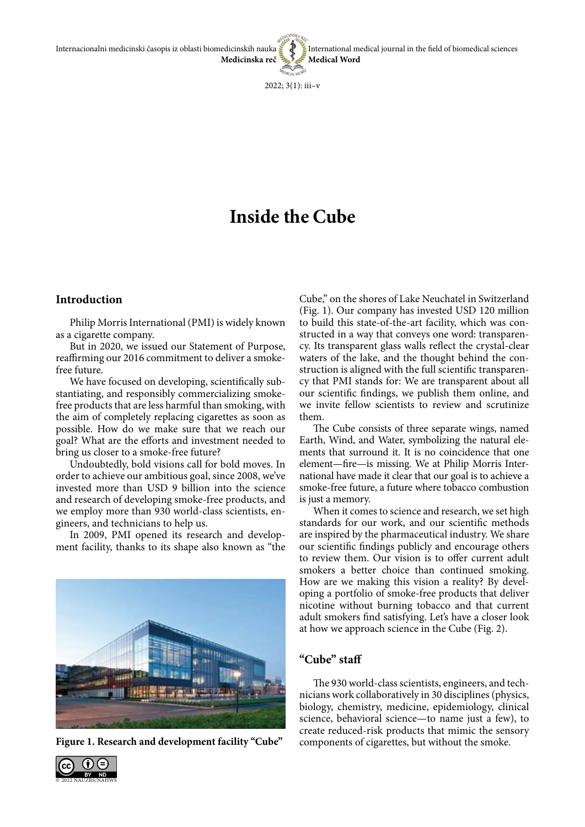Internacionalni medicinski časopis iz oblasti biomedicinskih nauka **Medicinska reč** International medical journal in the field of biomedical sciences **Medical Word**

 $2022$ ;  $3(1)$ : iii-v

# **Inside the Cube**

## **Introduction**

Philip Morris International (PMI) is widely known as a cigarette company.

But in 2020, we issued our Statement of Purpose, reaffirming our 2016 commitment to deliver a smokefree future.

We have focused on developing, scientifically substantiating, and responsibly commercializing smokefree products that are less harmful than smoking, with the aim of completely replacing cigarettes as soon as possible. How do we make sure that we reach our goal? What are the efforts and investment needed to bring us closer to a smoke-free future?

Undoubtedly, bold visions call for bold moves. In order to achieve our ambitious goal, since 2008, we've invested more than USD 9 billion into the science and research of developing smoke-free products, and we employ more than 930 world-class scientists, engineers, and technicians to help us.

In 2009, PMI opened its research and development facility, thanks to its shape also known as "the



Figure 1. Research and development facility "Cube" components of cigarettes, but without the smoke.

Cube," on the shores of Lake Neuchatel in Switzerland (Fig. 1). Our company has invested USD 120 million to build this state-of-the-art facility, which was constructed in a way that conveys one word: transparency. Its transparent glass walls reflect the crystal-clear waters of the lake, and the thought behind the construction is aligned with the full scientific transparency that PMI stands for: We are transparent about all our scientific findings, we publish them online, and we invite fellow scientists to review and scrutinize them.

The Cube consists of three separate wings, named Earth, Wind, and Water, symbolizing the natural elements that surround it. It is no coincidence that one element—fire—is missing. We at Philip Morris International have made it clear that our goal is to achieve a smoke-free future, a future where tobacco combustion is just a memory.

When it comes to science and research, we set high standards for our work, and our scientific methods are inspired by the pharmaceutical industry. We share our scientific findings publicly and encourage others to review them. Our vision is to offer current adult smokers a better choice than continued smoking. How are we making this vision a reality? By developing a portfolio of smoke-free products that deliver nicotine without burning tobacco and that current adult smokers find satisfying. Let's have a closer look at how we approach science in the Cube (Fig. 2).

#### **"Cube" staff**

The 930 world-class scientists, engineers, and technicians work collaboratively in 30 disciplines (physics, biology, chemistry, medicine, epidemiology, clinical science, behavioral science—to name just a few), to create reduced-risk products that mimic the sensory

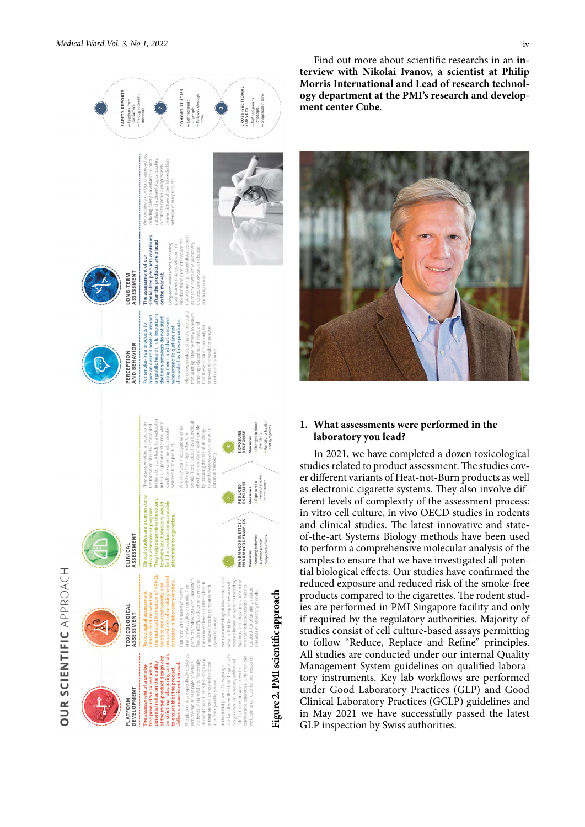

Find out more about scientific researchs in an **interview with Nikolai Ivanov, a scientist at Philip Morris International and Lead of research technology department at the PMI's research and development center Cube**.



## **1. What assessments were performed in the laboratory you lead?**

In 2021, we have completed a dozen toxicological studies related to product assessment. The studies cover different variants of Heat-not-Burn products as well as electronic cigarette systems. They also involve different levels of complexity of the assessment process: in vitro cell culture, in vivo OECD studies in rodents and clinical studies. The latest innovative and stateof-the-art Systems Biology methods have been used to perform a comprehensive molecular analysis of the samples to ensure that we have investigated all potential biological effects. Our studies have confirmed the reduced exposure and reduced risk of the smoke-free products compared to the cigarettes. The rodent studies are performed in PMI Singapore facility and only if required by the regulatory authorities. Majority of studies consist of cell culture-based assays permitting to follow "Reduce, Replace and Refine" principles. All studies are conducted under our internal Quality Management System guidelines on qualified laboratory instruments. Key lab workflows are performed under Good Laboratory Practices (GLP) and Good Clinical Laboratory Practices (GCLP) guidelines and in May 2021 we have successfully passed the latest GLP inspection by Swiss authorities.